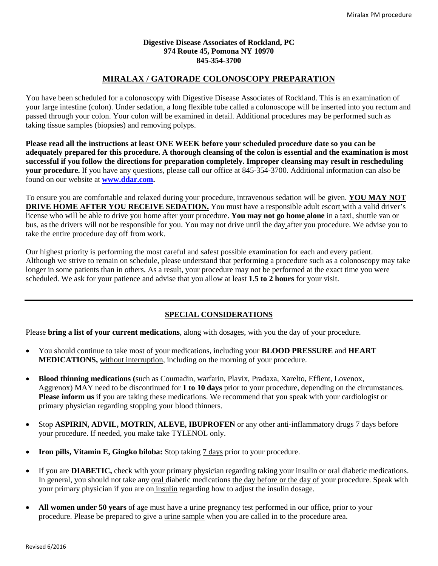#### **Digestive Disease Associates of Rockland, PC 974 Route 45, Pomona NY 10970 845-354-3700**

# **MIRALAX / GATORADE COLONOSCOPY PREPARATION**

You have been scheduled for a colonoscopy with Digestive Disease Associates of Rockland. This is an examination of your large intestine (colon). Under sedation, a long flexible tube called a colonoscope will be inserted into you rectum and passed through your colon. Your colon will be examined in detail. Additional procedures may be performed such as taking tissue samples (biopsies) and removing polyps.

**Please read all the instructions at least ONE WEEK before your scheduled procedure date so you can be adequately prepared for this procedure. A thorough cleansing of the colon is essential and the examination is most successful if you follow the directions for preparation completely. Improper cleansing may result in rescheduling your procedure.** If you have any questions, please call our office at 845-354-3700. Additional information can also be found on our website at **[www.ddar.com.](http://www.ddar.com/)**

To ensure you are comfortable and relaxed during your procedure, intravenous sedation will be given. **YOU MAY NOT DRIVE HOME AFTER YOU RECEIVE SEDATION.** You must have a responsible adult escort with a valid driver's license who will be able to drive you home after your procedure. **You may not go home alone** in a taxi, shuttle van or bus, as the drivers will not be responsible for you. You may not drive until the day after you procedure. We advise you to take the entire procedure day off from work.

Our highest priority is performing the most careful and safest possible examination for each and every patient. Although we strive to remain on schedule, please understand that performing a procedure such as a colonoscopy may take longer in some patients than in others. As a result, your procedure may not be performed at the exact time you were scheduled. We ask for your patience and advise that you allow at least **1.5 to 2 hours** for your visit.

## **SPECIAL CONSIDERATIONS**

Please **bring a list of your current medications**, along with dosages, with you the day of your procedure.

- You should continue to take most of your medications, including your **BLOOD PRESSURE** and **HEART MEDICATIONS,** without interruption, including on the morning of your procedure.
- **Blood thinning medications (**such as Coumadin, warfarin, Plavix, Pradaxa, Xarelto, Effient, Lovenox, Aggrenox) MAY need to be discontinued for **1 to 10 days** prior to your procedure, depending on the circumstances. **Please inform us** if you are taking these medications. We recommend that you speak with your cardiologist or primary physician regarding stopping your blood thinners.
- Stop **ASPIRIN, ADVIL, MOTRIN, ALEVE, IBUPROFEN** or any other anti-inflammatory drugs 7 days before your procedure. If needed, you make take TYLENOL only.
- **Iron pills, Vitamin E, Gingko biloba:** Stop taking 7 days prior to your procedure.
- If you are **DIABETIC,** check with your primary physician regarding taking your insulin or oral diabetic medications. In general, you should not take any <u>oral diabetic medications the day before or the day of</u> your procedure. Speak with your primary physician if you are on insulin regarding how to adjust the insulin dosage.
- **All women under 50 years** of age must have a urine pregnancy test performed in our office, prior to your procedure. Please be prepared to give a urine sample when you are called in to the procedure area.